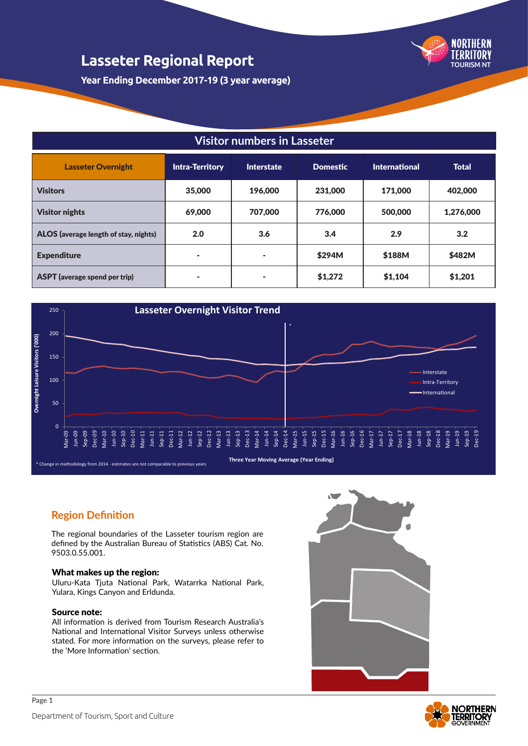

**Year Ending December 2017-19 (3 year average)**

### **Visitor numbers in Lasseter**

| <b>Lasseter Overnight</b>             | <b>Intra-Territory</b> | <b>Interstate</b> | <b>Domestic</b> | <b>International</b> | <b>Total</b> |
|---------------------------------------|------------------------|-------------------|-----------------|----------------------|--------------|
| <b>Visitors</b>                       | 35,000                 | 196,000           | 231,000         | 171,000              | 402,000      |
| <b>Visitor nights</b>                 | 69,000                 | 707,000           | 776,000         | 500,000              | 1,276,000    |
| ALOS (average length of stay, nights) | 2.0                    | 3.6               | 3.4             | 2.9                  | 3.2          |
| <b>Expenditure</b>                    | ٠                      | $\sim$            | \$294M          | \$188M               | \$482M       |
| <b>ASPT</b> (average spend per trip)  | ٠                      | $\sim$            | \$1,272         | \$1,104              | \$1,201      |



#### **Region Definition**

The regional boundaries of the Lasseter tourism region are defined by the Australian Bureau of Statistics (ABS) Cat. No. 9503.0.55.001.

#### What makes up the region:

Uluru-Kata Tjuta National Park, Watarrka National Park, Yulara, Kings Canyon and Erldunda.

#### Source note:

Page 1

All information is derived from Tourism Research Australia's National and International Visitor Surveys unless otherwise stated. For more information on the surveys, please refer to the 'More Information' section.



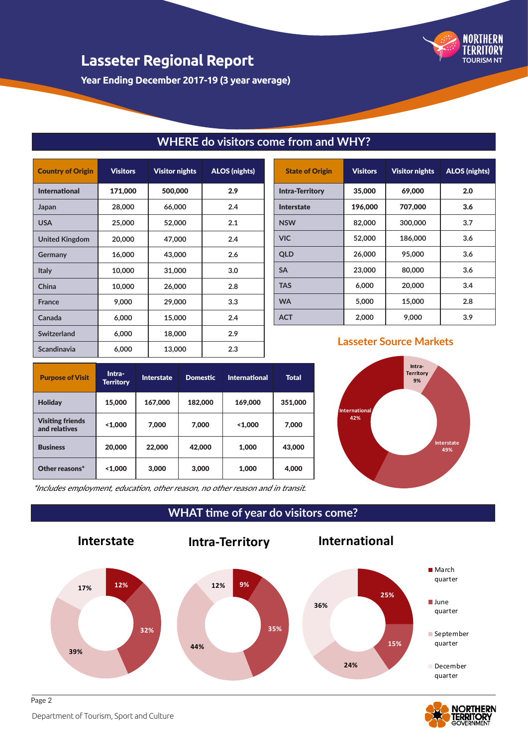

**Year Ending December 2017-19 (3 year average)**

| <b>Country of Origin</b> | <b>Visitors</b> | <b>Visitor nights</b> | <b>ALOS (nights)</b> |
|--------------------------|-----------------|-----------------------|----------------------|
| <b>International</b>     | 171,000         | 500,000               | 2.9                  |
| Japan                    | 28,000          | 66,000                | 2.4                  |
| <b>USA</b>               | 25,000          | 52,000                | 2.1                  |
| <b>United Kingdom</b>    | 20,000          | 47,000                | 2.4                  |
| Germany                  | 16,000          | 43,000                | 2.6                  |
| <b>Italy</b>             | 10,000          | 31,000                | 3.0                  |
| China                    | 10,000          | 26,000                | 2.8                  |
| <b>France</b>            | 9,000           | 29,000                | 3.3                  |
| Canada                   | 6,000           | 15,000                | 2.4                  |
| Switzerland              | 6,000           | 18,000                | 2.9                  |
| Scandinavia              | 6,000           | 13,000                | 2.3                  |

| <b>State of Origin</b> | <b>Visitors</b> | <b>Visitor nights</b> | <b>ALOS (nights)</b> |
|------------------------|-----------------|-----------------------|----------------------|
| <b>Intra-Territory</b> | 35,000          | 69,000                | 2.0                  |
| Interstate             | 196,000         | 707,000               | 3.6                  |
| <b>NSW</b>             | 82,000          | 300,000               | 3.7                  |
| <b>VIC</b>             | 52,000          | 186,000               | 3.6                  |
| <b>QLD</b>             | 26,000          | 95,000                | 3.6                  |
| <b>SA</b>              | 23,000          | 80,000                | 3.6                  |
| <b>TAS</b>             | 6.000           | 20,000                | 3.4                  |
| <b>WA</b>              | 5,000           | 15,000                | 2.8                  |
| <b>ACT</b>             | 2,000           | 9.000                 | 3.9                  |

## **Lasseter Source Markets**





\*Includes employment, education, other reason, no other reason and in transit.

**WHAT time of year do visitors come?**

**WHERE do visitors come from and WHY?**



# **NORTHERN**

Department of Tourism, Sport and Culture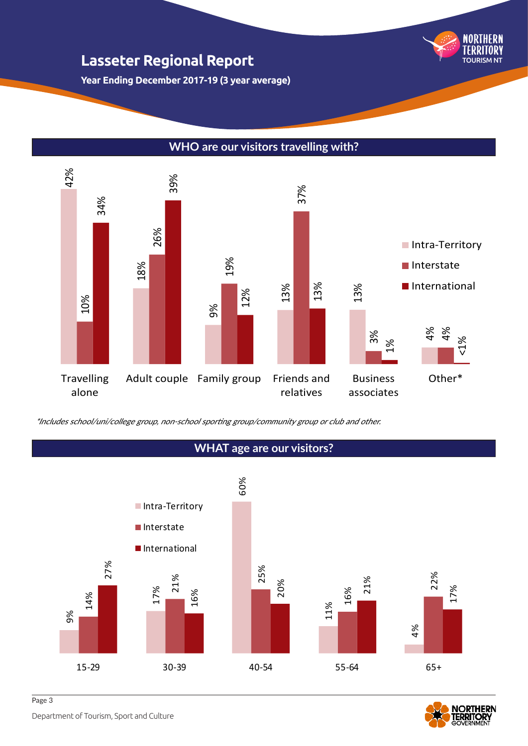

**Year Ending December 2017-19 (3 year average)**

### **WHO are our visitors travelling with?**



#### **WHAT age are our visitors?** 9% 17% 60% 11% 4% 14% 21% 25% 16% 22% 27% 16% 20% 21% 17% 15-29 30-39 40-54 55-64 65+ **Intra-Territory** Interstate **International**

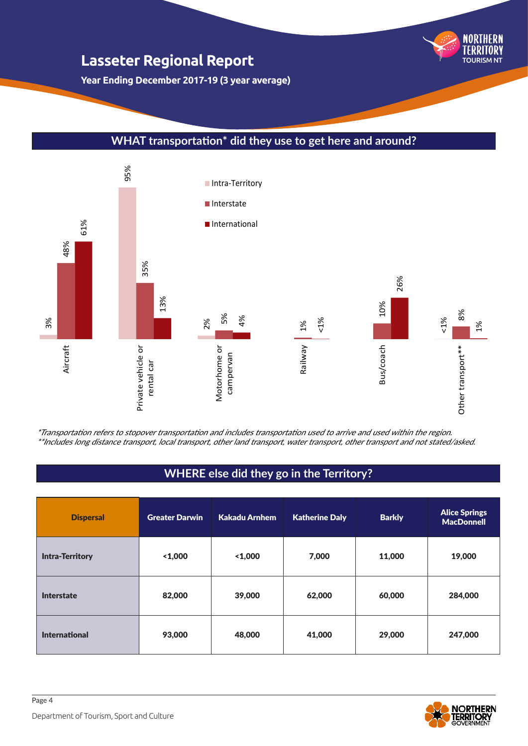NORTHERN TOURISM NT

**Year Ending December 2017-19 (3 year average)**

### **WHAT transportation\* did they use to get here and around?**



\*Transportation refers to stopover transportation and includes transportation used to arrive and used within the region.<br>\*\*Includes long distance transport, local transport, other land transport, water transport, other tra

# **WHERE else did they go in the Territory?**

| <b>Dispersal</b>       | <b>Greater Darwin</b> | Kakadu Arnhem | <b>Katherine Daly</b> | <b>Barkly</b> | <b>Alice Springs</b><br><b>MacDonnell</b> |
|------------------------|-----------------------|---------------|-----------------------|---------------|-------------------------------------------|
| <b>Intra-Territory</b> | 1,000                 | 1,000         | 7,000                 | 11,000        | 19,000                                    |
| <b>Interstate</b>      | 82,000                | 39,000        | 62,000                | 60,000        | 284,000                                   |
| <b>International</b>   | 93,000                | 48,000        | 41,000                | 29,000        | 247,000                                   |



Page 4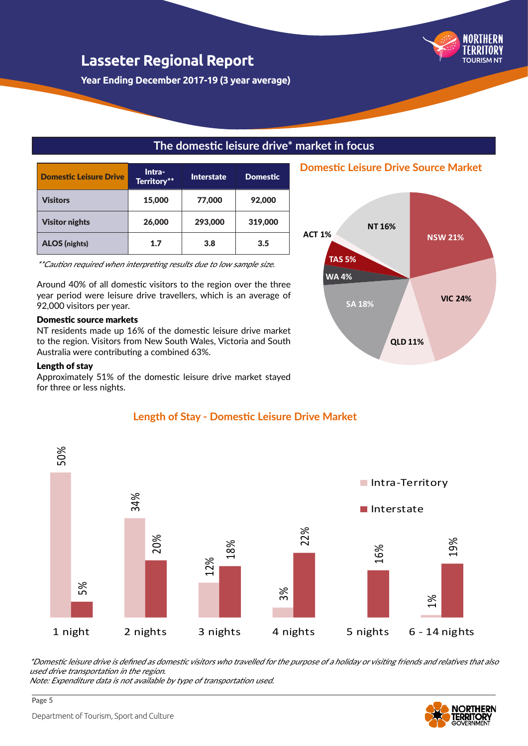**Year Ending December 2017-19 (3 year average)**

### **The domestic leisure drive\* market in focus**

| Domestic Leisure Drive | Intra-<br>Territory** | <b>Interstate</b> | <b>Domestic</b> |
|------------------------|-----------------------|-------------------|-----------------|
| Visitors               | 15,000                | 77,000            | 92,000          |
| <b>Visitor nights</b>  | 26,000                | 293,000           | 319,000         |
| <b>ALOS</b> (nights)   | 1.7                   | 3.8               | 3.5             |

\*\*Caution required when interpreting results due to low sample size.

Around 40% of all domestic visitors to the region over the three year period were leisure drive travellers, which is an average of 92,000 visitors per year.

#### Domestic source markets

NT residents made up 16% of the domestic leisure drive market to the region. Visitors from New South Wales, Victoria and South Australia were contributing a combined 63%.

#### Length of stay

Approximately 51% of the domestic leisure drive market stayed for three or less nights.



#### **Length of Stay - Domestic Leisure Drive Market**

\*Domestic leisure drive is defined as domestic visitors who travelled for the purpose of a holiday or visiting friends and relatives that also used drive transportation in the region.

Note: Expenditure data is not available by type of transportation used.



Page 5



**Domestic Leisure Drive Source Market**

TOURISM NT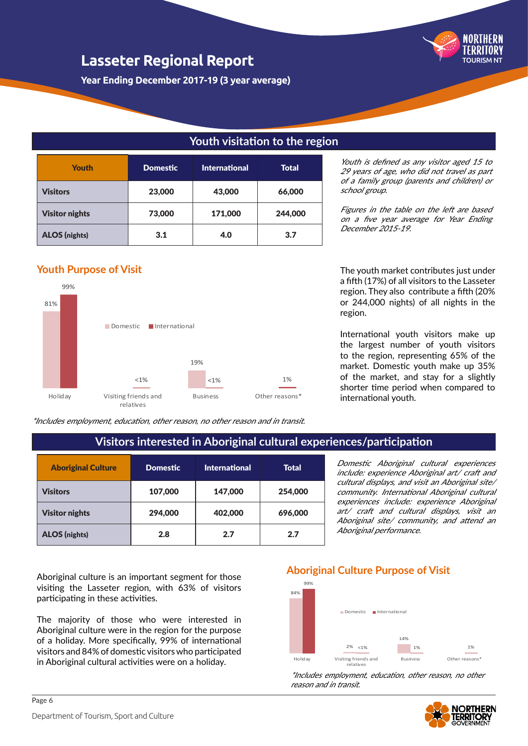

**Year Ending December 2017-19 (3 year average)**

### **Youth visitation to the region**

| <b>Youth</b>          | <b>Domestic</b> | <b>International</b> | Total   |
|-----------------------|-----------------|----------------------|---------|
| <b>Visitors</b>       | 23,000          | 43,000               | 66,000  |
| <b>Visitor nights</b> | 73,000          | 171,000              | 244,000 |
| <b>ALOS</b> (nights)  | 3.1             | 4.0                  | 3.7     |

### **Youth Purpose of Visit**



\*Includes employment, education, other reason, no other reason and in transit.

Youth is defined as any visitor aged 15 to 29 years of age, who did not travel as part of a family group (parents and children) or school group.

Figures in the table on the left are based on a five year average for Year Ending December 2015-19.

The youth market contributes just under a fifth (17%) of all visitors to the Lasseter region. They also contribute a fifth (20% or 244,000 nights) of all nights in the region.

International youth visitors make up the largest number of youth visitors to the region, representing 65% of the market. Domestic youth make up 35% of the market, and stay for a slightly shorter time period when compared to international youth.

### **Visitors interested in Aboriginal cultural experiences/participation**

| <b>Aboriginal Culture</b> | <b>Domestic</b> | <b>International</b> | <b>Total</b> |
|---------------------------|-----------------|----------------------|--------------|
| Visitors                  | 107,000         | 147,000              | 254,000      |
| <b>Visitor nights</b>     | 294,000         | 402,000              | 696,000      |
| <b>ALOS (nights)</b>      | 2.8             | 2.7                  | 2.7          |

Domestic Aboriginal cultural experiences include: experience Aboriginal art/ craft and cultural displays, and visit an Aboriginal site/ community. International Aboriginal cultural experiences include: experience Aboriginal art/ craft and cultural displays, visit an Aboriginal site/ community, and attend an Aboriginal performance.

Aboriginal culture is an important segment for those visiting the Lasseter region, with 63% of visitors participating in these activities.

The majority of those who were interested in Aboriginal culture were in the region for the purpose of a holiday. More specifically, 99% of international visitors and 84% of domestic visitors who participated in Aboriginal cultural activities were on a holiday.

#### **Aboriginal Culture Purpose of Visit**



\*Includes employment, education, other reason, no other reason and in transit.

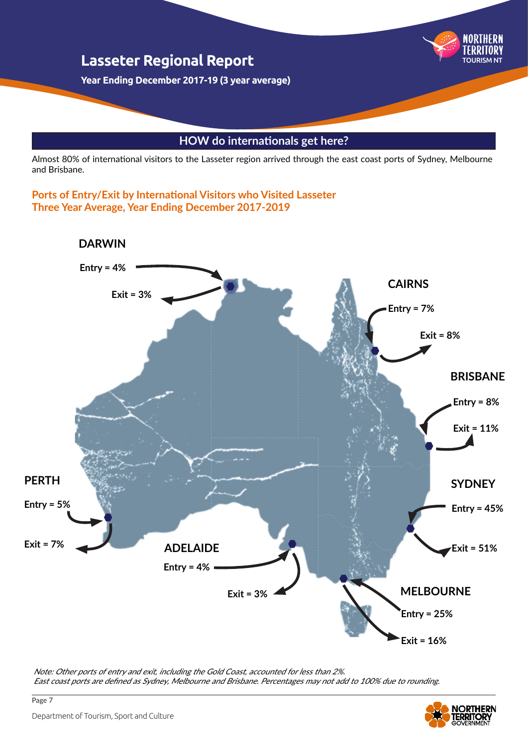

Almost 80% of international visitors to the Lasseter region arrived through the east coast ports of Sydney, Melbourne and Brisbane.

**Ports of Entry/Exit by International Visitors who Visited Lasseter Three Year Average, Year Ending December 2017-2019**



Note: Other ports of entry and exit, including the Gold Coast, accounted for less than 2%. East coast ports are defined as Sydney, Melbourne and Brisbane. Percentages may not add to 100% due to rounding.



Page 7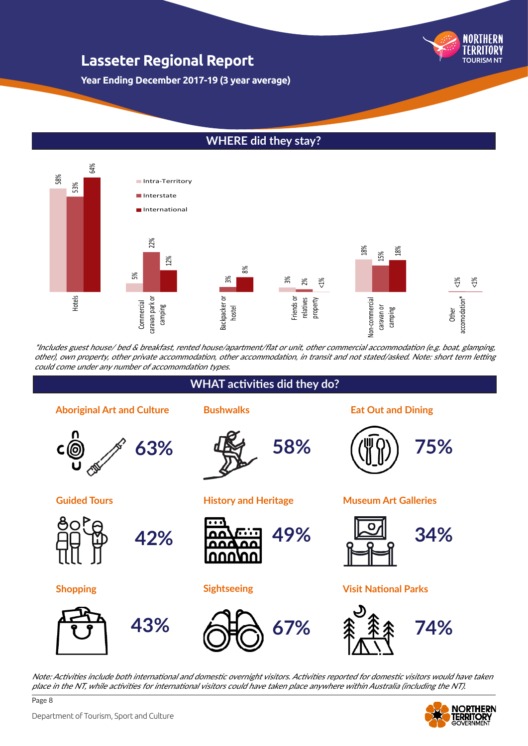TOURISM NT

**Year Ending December 2017-19 (3 year average)**

### **WHERE did they stay?**



\*Includes guest house/ bed & breakfast, rented house/apartment/flat or unit, other commercial accommodation (e.g. boat, glamping, other), own property, other private accommodation, other accommodation, in transit and not stated/asked. Note: short term letting could come under any number of accomomdation types.



Note: Activities include both international and domestic overnight visitors. Activities reported for domestic visitors would have taken



Page 8

# **WHAT activities did they do?**